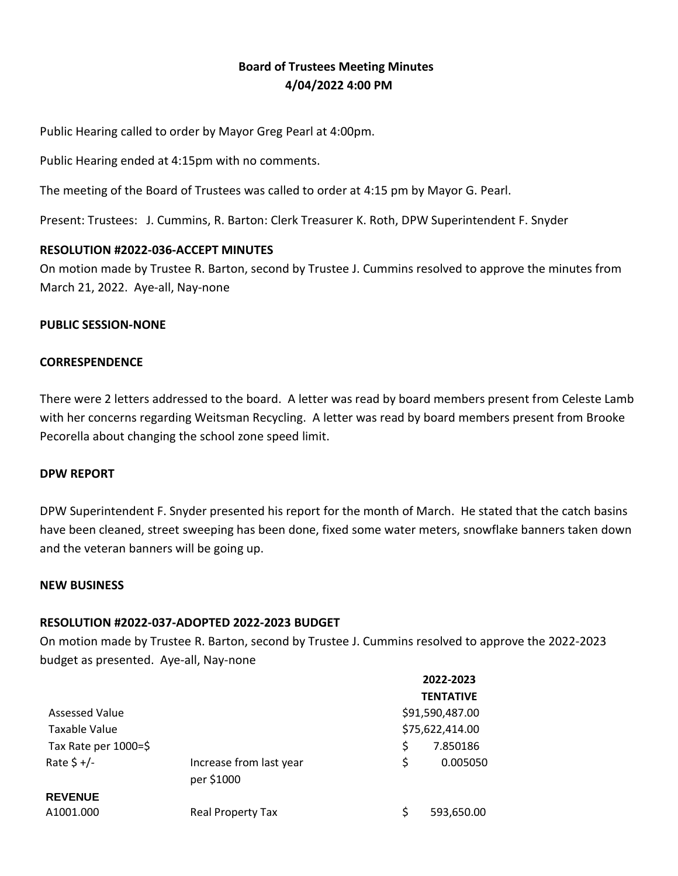## **Board of Trustees Meeting Minutes 4/04/2022 4:00 PM**

Public Hearing called to order by Mayor Greg Pearl at 4:00pm.

Public Hearing ended at 4:15pm with no comments.

The meeting of the Board of Trustees was called to order at 4:15 pm by Mayor G. Pearl.

Present: Trustees: J. Cummins, R. Barton: Clerk Treasurer K. Roth, DPW Superintendent F. Snyder

#### **RESOLUTION #2022-036-ACCEPT MINUTES**

On motion made by Trustee R. Barton, second by Trustee J. Cummins resolved to approve the minutes from March 21, 2022. Aye-all, Nay-none

#### **PUBLIC SESSION-NONE**

#### **CORRESPENDENCE**

There were 2 letters addressed to the board. A letter was read by board members present from Celeste Lamb with her concerns regarding Weitsman Recycling. A letter was read by board members present from Brooke Pecorella about changing the school zone speed limit.

#### **DPW REPORT**

DPW Superintendent F. Snyder presented his report for the month of March. He stated that the catch basins have been cleaned, street sweeping has been done, fixed some water meters, snowflake banners taken down and the veteran banners will be going up.

#### **NEW BUSINESS**

## **RESOLUTION #2022-037-ADOPTED 2022-2023 BUDGET**

On motion made by Trustee R. Barton, second by Trustee J. Cummins resolved to approve the 2022-2023 budget as presented. Aye-all, Nay-none

|                      |                                       |    | 2022-2023        |
|----------------------|---------------------------------------|----|------------------|
|                      |                                       |    | <b>TENTATIVE</b> |
| Assessed Value       |                                       |    | \$91,590,487.00  |
| Taxable Value        |                                       |    | \$75,622,414.00  |
| Tax Rate per 1000=\$ |                                       | \$ | 7.850186         |
| Rate $$+/-$          | Increase from last year<br>per \$1000 | Ś  | 0.005050         |
| <b>REVENUE</b>       |                                       |    |                  |
| A1001.000            | <b>Real Property Tax</b>              | S  | 593,650.00       |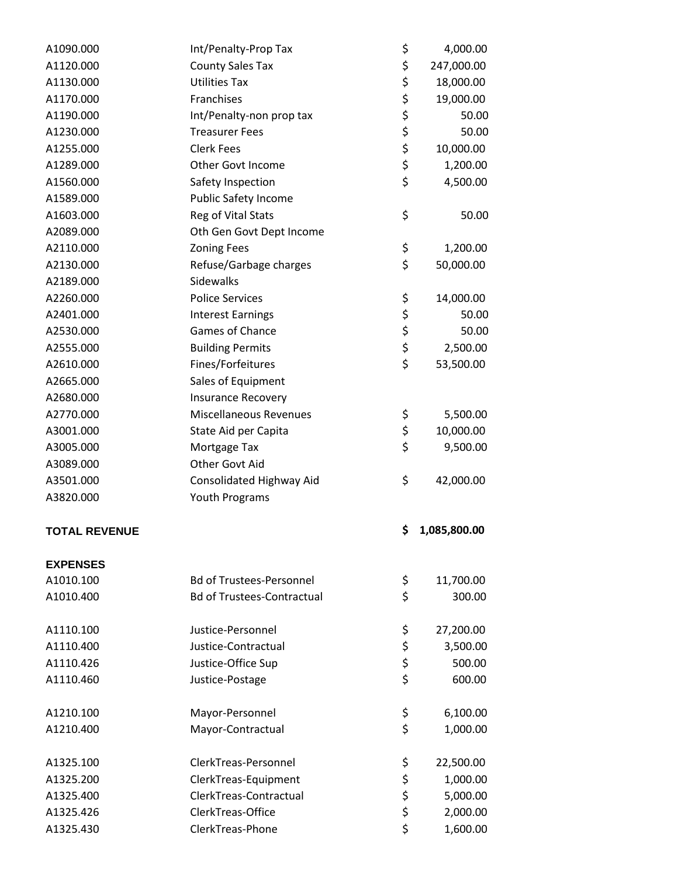| A1090.000            | Int/Penalty-Prop Tax              | \$<br>4,000.00     |
|----------------------|-----------------------------------|--------------------|
| A1120.000            | <b>County Sales Tax</b>           | \$<br>247,000.00   |
| A1130.000            | <b>Utilities Tax</b>              | \$<br>18,000.00    |
| A1170.000            | Franchises                        | \$<br>19,000.00    |
| A1190.000            | Int/Penalty-non prop tax          | \$<br>50.00        |
| A1230.000            | <b>Treasurer Fees</b>             | \$<br>50.00        |
| A1255.000            | <b>Clerk Fees</b>                 | \$<br>10,000.00    |
| A1289.000            | Other Govt Income                 | \$<br>1,200.00     |
| A1560.000            | Safety Inspection                 | \$<br>4,500.00     |
| A1589.000            | <b>Public Safety Income</b>       |                    |
| A1603.000            | Reg of Vital Stats                | \$<br>50.00        |
| A2089.000            | Oth Gen Govt Dept Income          |                    |
| A2110.000            | <b>Zoning Fees</b>                | \$<br>1,200.00     |
| A2130.000            | Refuse/Garbage charges            | \$<br>50,000.00    |
| A2189.000            | Sidewalks                         |                    |
| A2260.000            | <b>Police Services</b>            | \$<br>14,000.00    |
| A2401.000            | <b>Interest Earnings</b>          | \$<br>50.00        |
| A2530.000            | Games of Chance                   | \$<br>50.00        |
| A2555.000            | <b>Building Permits</b>           | \$<br>2,500.00     |
| A2610.000            | Fines/Forfeitures                 | \$<br>53,500.00    |
| A2665.000            | Sales of Equipment                |                    |
| A2680.000            | <b>Insurance Recovery</b>         |                    |
| A2770.000            | <b>Miscellaneous Revenues</b>     | \$<br>5,500.00     |
| A3001.000            | State Aid per Capita              | \$<br>10,000.00    |
| A3005.000            | Mortgage Tax                      | \$<br>9,500.00     |
| A3089.000            | Other Govt Aid                    |                    |
| A3501.000            | Consolidated Highway Aid          | \$<br>42,000.00    |
| A3820.000            | Youth Programs                    |                    |
|                      |                                   |                    |
| <b>TOTAL REVENUE</b> |                                   | \$<br>1,085,800.00 |
|                      |                                   |                    |
| <b>EXPENSES</b>      |                                   |                    |
| A1010.100            | <b>Bd of Trustees-Personnel</b>   | \$<br>11,700.00    |
| A1010.400            | <b>Bd of Trustees-Contractual</b> | \$<br>300.00       |
|                      |                                   |                    |
| A1110.100            | Justice-Personnel                 | \$<br>27,200.00    |
| A1110.400            | Justice-Contractual               | \$<br>3,500.00     |
| A1110.426            | Justice-Office Sup                | \$<br>500.00       |
| A1110.460            | Justice-Postage                   | \$<br>600.00       |
|                      |                                   |                    |
| A1210.100            | Mayor-Personnel                   | \$<br>6,100.00     |
| A1210.400            | Mayor-Contractual                 | \$<br>1,000.00     |
|                      |                                   |                    |
| A1325.100            | ClerkTreas-Personnel              | \$<br>22,500.00    |
| A1325.200            | ClerkTreas-Equipment              | \$<br>1,000.00     |
| A1325.400            |                                   | \$<br>5,000.00     |
|                      | ClerkTreas-Contractual            |                    |
| A1325.426            | ClerkTreas-Office                 | \$<br>2,000.00     |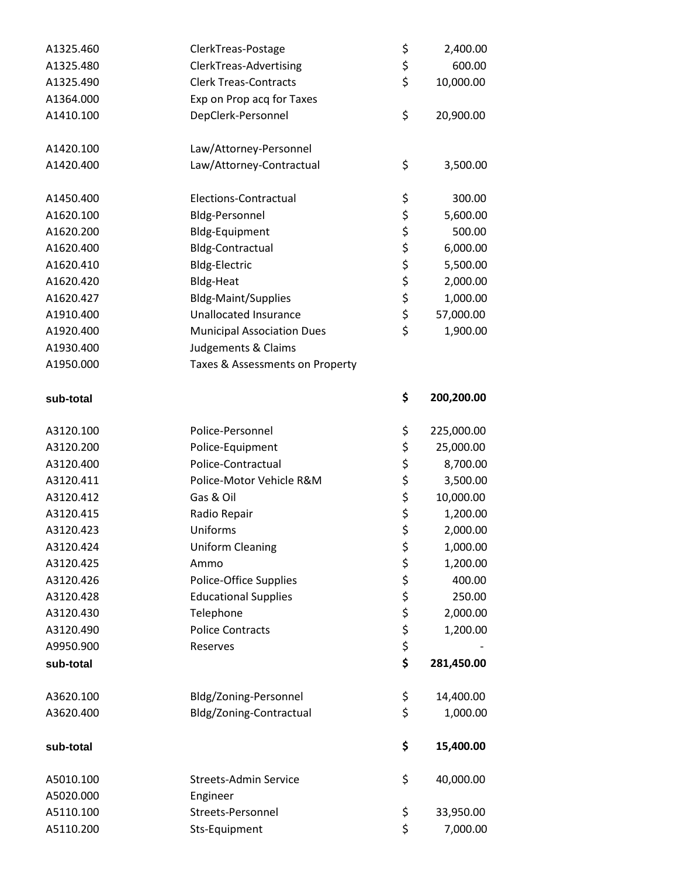| A1325.460 | ClerkTreas-Postage                | \$<br>2,400.00   |
|-----------|-----------------------------------|------------------|
| A1325.480 | ClerkTreas-Advertising            | \$<br>600.00     |
| A1325.490 | <b>Clerk Treas-Contracts</b>      | \$<br>10,000.00  |
| A1364.000 | Exp on Prop acq for Taxes         |                  |
| A1410.100 | DepClerk-Personnel                | \$<br>20,900.00  |
| A1420.100 | Law/Attorney-Personnel            |                  |
| A1420.400 | Law/Attorney-Contractual          | \$<br>3,500.00   |
| A1450.400 | Elections-Contractual             | \$<br>300.00     |
| A1620.100 | Bldg-Personnel                    | \$<br>5,600.00   |
| A1620.200 | Bldg-Equipment                    | \$<br>500.00     |
| A1620.400 | <b>Bldg-Contractual</b>           | \$<br>6,000.00   |
| A1620.410 | Bldg-Electric                     | \$<br>5,500.00   |
| A1620.420 | <b>Bldg-Heat</b>                  | \$<br>2,000.00   |
| A1620.427 | <b>Bldg-Maint/Supplies</b>        | \$<br>1,000.00   |
| A1910.400 | <b>Unallocated Insurance</b>      | \$<br>57,000.00  |
| A1920.400 | <b>Municipal Association Dues</b> | \$<br>1,900.00   |
| A1930.400 | Judgements & Claims               |                  |
| A1950.000 | Taxes & Assessments on Property   |                  |
|           |                                   |                  |
| sub-total |                                   | \$<br>200,200.00 |
| A3120.100 | Police-Personnel                  | \$<br>225,000.00 |
| A3120.200 | Police-Equipment                  | \$<br>25,000.00  |
| A3120.400 | Police-Contractual                | \$<br>8,700.00   |
| A3120.411 | Police-Motor Vehicle R&M          | \$<br>3,500.00   |
| A3120.412 | Gas & Oil                         | \$<br>10,000.00  |
| A3120.415 | Radio Repair                      | \$<br>1,200.00   |
| A3120.423 | Uniforms                          | \$<br>2,000.00   |
| A3120.424 | <b>Uniform Cleaning</b>           | \$<br>1,000.00   |
| A3120.425 | Ammo                              | \$<br>1,200.00   |
| A3120.426 | Police-Office Supplies            | \$<br>400.00     |
| A3120.428 | <b>Educational Supplies</b>       | \$<br>250.00     |
| A3120.430 | Telephone                         | \$<br>2,000.00   |
| A3120.490 | <b>Police Contracts</b>           | \$<br>1,200.00   |
| A9950.900 | Reserves                          | \$               |
| sub-total |                                   | \$<br>281,450.00 |
| A3620.100 | Bldg/Zoning-Personnel             | \$<br>14,400.00  |
| A3620.400 | Bldg/Zoning-Contractual           | \$<br>1,000.00   |
| sub-total |                                   | \$<br>15,400.00  |
| A5010.100 | <b>Streets-Admin Service</b>      | \$<br>40,000.00  |
| A5020.000 | Engineer                          |                  |
| A5110.100 | Streets-Personnel                 | \$<br>33,950.00  |
| A5110.200 | Sts-Equipment                     | \$<br>7,000.00   |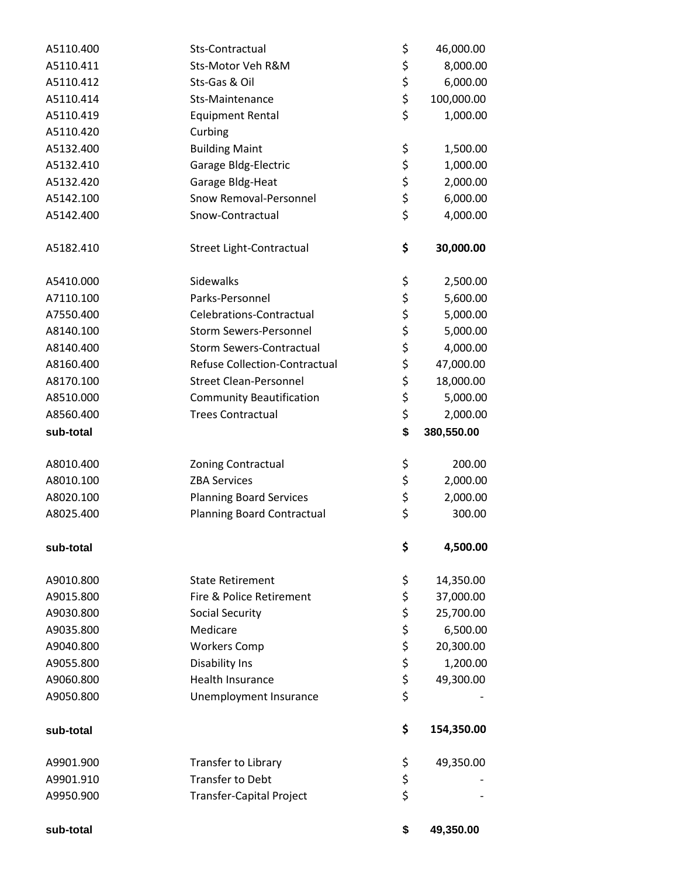| A5110.400 | Sts-Contractual                   | \$<br>46,000.00  |
|-----------|-----------------------------------|------------------|
| A5110.411 | Sts-Motor Veh R&M                 | \$<br>8,000.00   |
| A5110.412 | Sts-Gas & Oil                     | \$<br>6,000.00   |
| A5110.414 | Sts-Maintenance                   | \$<br>100,000.00 |
| A5110.419 | <b>Equipment Rental</b>           | \$<br>1,000.00   |
| A5110.420 | Curbing                           |                  |
| A5132.400 | <b>Building Maint</b>             | \$<br>1,500.00   |
| A5132.410 | Garage Bldg-Electric              | \$<br>1,000.00   |
| A5132.420 | Garage Bldg-Heat                  | \$<br>2,000.00   |
| A5142.100 | Snow Removal-Personnel            | \$<br>6,000.00   |
| A5142.400 | Snow-Contractual                  | \$<br>4,000.00   |
|           |                                   |                  |
| A5182.410 | Street Light-Contractual          | \$<br>30,000.00  |
|           |                                   |                  |
| A5410.000 | Sidewalks                         | \$<br>2,500.00   |
| A7110.100 | Parks-Personnel                   | \$<br>5,600.00   |
| A7550.400 | Celebrations-Contractual          | \$<br>5,000.00   |
| A8140.100 | <b>Storm Sewers-Personnel</b>     | \$<br>5,000.00   |
| A8140.400 | <b>Storm Sewers-Contractual</b>   | \$<br>4,000.00   |
| A8160.400 | Refuse Collection-Contractual     | \$<br>47,000.00  |
| A8170.100 | <b>Street Clean-Personnel</b>     | \$<br>18,000.00  |
| A8510.000 | <b>Community Beautification</b>   | \$<br>5,000.00   |
| A8560.400 | <b>Trees Contractual</b>          | \$<br>2,000.00   |
| sub-total |                                   | \$<br>380,550.00 |
| A8010.400 | <b>Zoning Contractual</b>         | \$<br>200.00     |
| A8010.100 | <b>ZBA Services</b>               | \$<br>2,000.00   |
| A8020.100 | <b>Planning Board Services</b>    | \$<br>2,000.00   |
| A8025.400 | <b>Planning Board Contractual</b> | \$<br>300.00     |
| sub-total |                                   | \$<br>4,500.00   |
| A9010.800 | <b>State Retirement</b>           | \$<br>14,350.00  |
| A9015.800 | Fire & Police Retirement          | \$<br>37,000.00  |
| A9030.800 | <b>Social Security</b>            | \$<br>25,700.00  |
| A9035.800 | Medicare                          | \$<br>6,500.00   |
| A9040.800 | <b>Workers Comp</b>               | \$<br>20,300.00  |
| A9055.800 | Disability Ins                    | \$<br>1,200.00   |
| A9060.800 | <b>Health Insurance</b>           | \$<br>49,300.00  |
| A9050.800 | Unemployment Insurance            | \$               |
|           |                                   |                  |
| sub-total |                                   | \$<br>154,350.00 |
| A9901.900 | Transfer to Library               | \$<br>49,350.00  |
| A9901.910 | <b>Transfer to Debt</b>           | \$               |
| A9950.900 | <b>Transfer-Capital Project</b>   | \$               |
| sub-total |                                   | \$<br>49,350.00  |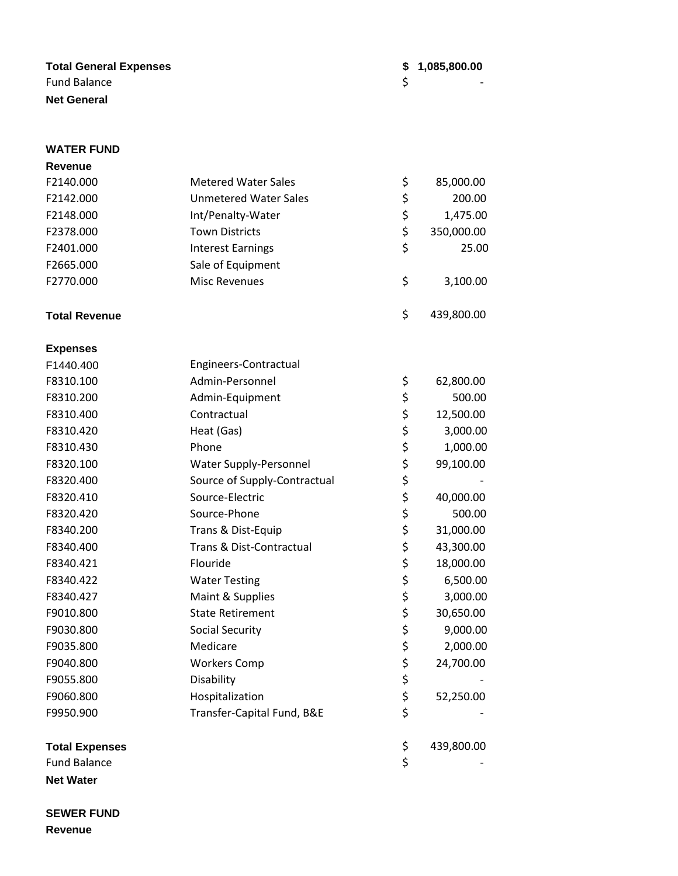#### **Total General Expenses \$ 1,085,800.00**  Fund Balance \$ - **Net General**

**WATER FUND**

# **Revenue** F2140.000 Metered Water Sales \$ 85,000.00 F2142.000 Unmetered Water Sales \$ 200.00 F2148.000 Int/Penalty-Water \$ 1,475.00 F2378.000 Town Districts \$ 350,000.00 F2401.000 Interest Earnings \$ 25.00 F2665.000 Sale of Equipment F2770.000 Misc Revenues \$ 3,100.00 **Total Revenue** \$ 439,800.00 **Expenses** F1440.400 Engineers-Contractual F8310.100 Admin-Personnel \$ 62,800.00 F8310.200 Admin-Equipment \$ 500.00 F8310.400 Contractual \$ 12,500.00 F8310.420 Heat (Gas) Heat (South 1997) Heat (Gas) 5 3,000.00 F8310.430 Phone Phone 5 1,000.00 F8320.100 Water Supply-Personnel \$ 99,100.00 F8320.400 Source of Supply-Contractual \$ F8320.410 Source-Electric \$ 40,000.00 F8320.420 Source-Phone \$ 500.00 F8340.200 Trans & Dist-Equip  $\frac{1}{2}$  7 31,000.00 F8340.400 Trans & Dist-Contractual \$ 43,300.00 F8340.421 Flouride \$ 18,000.00 F8340.422 Water Testing \$ 6,500.00 F8340.427 Maint & Supplies  $\uparrow$  3,000.00 F9010.800 State Retirement \$ 30,650.00 F9030.800 Social Security  $\uparrow$  9,000.00 F9035.800 Medicare \$ 2,000.00 F9040.800 Workers Comp \$ 24,700.00 F9055.800 Disability \$ - F9060.800 Hospitalization \$ 52,250.00 F9950.900 Transfer-Capital Fund, B&E \$ **Total Expenses**  $\leftarrow$  439,800.00 Fund Balance \$ -

**Net Water**

**SEWER FUND Revenue**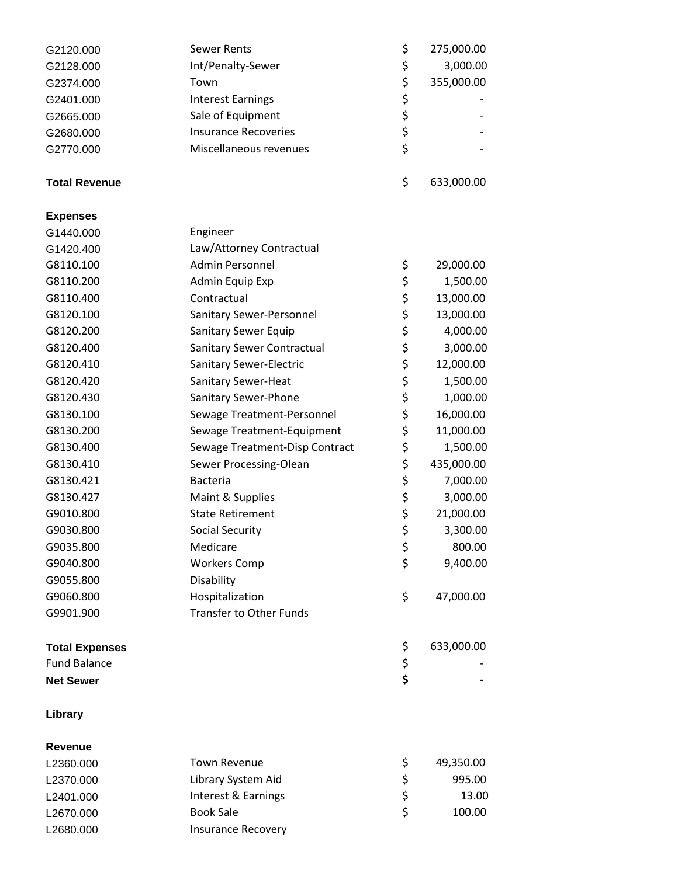| G2120.000             | <b>Sewer Rents</b>              | \$<br>275,000.00 |
|-----------------------|---------------------------------|------------------|
| G2128.000             | Int/Penalty-Sewer               | \$<br>3,000.00   |
| G2374.000             | Town                            | \$<br>355,000.00 |
| G2401.000             | <b>Interest Earnings</b>        | \$               |
| G2665.000             | Sale of Equipment               | \$               |
| G2680.000             | <b>Insurance Recoveries</b>     | \$               |
| G2770.000             | Miscellaneous revenues          | \$               |
|                       |                                 |                  |
| <b>Total Revenue</b>  |                                 | \$<br>633,000.00 |
| <b>Expenses</b>       |                                 |                  |
| G1440.000             | Engineer                        |                  |
| G1420.400             | Law/Attorney Contractual        |                  |
| G8110.100             | <b>Admin Personnel</b>          | \$<br>29,000.00  |
| G8110.200             | Admin Equip Exp                 | \$<br>1,500.00   |
| G8110.400             | Contractual                     | \$<br>13,000.00  |
| G8120.100             | <b>Sanitary Sewer-Personnel</b> | \$<br>13,000.00  |
| G8120.200             | Sanitary Sewer Equip            | \$<br>4,000.00   |
| G8120.400             | Sanitary Sewer Contractual      | \$<br>3,000.00   |
| G8120.410             | Sanitary Sewer-Electric         | \$<br>12,000.00  |
| G8120.420             | Sanitary Sewer-Heat             | \$<br>1,500.00   |
| G8120.430             | Sanitary Sewer-Phone            | \$<br>1,000.00   |
| G8130.100             | Sewage Treatment-Personnel      | \$<br>16,000.00  |
| G8130.200             | Sewage Treatment-Equipment      | \$<br>11,000.00  |
| G8130.400             | Sewage Treatment-Disp Contract  | \$<br>1,500.00   |
| G8130.410             | Sewer Processing-Olean          | \$<br>435,000.00 |
| G8130.421             | <b>Bacteria</b>                 | \$<br>7,000.00   |
| G8130.427             | Maint & Supplies                | \$<br>3,000.00   |
| G9010.800             | <b>State Retirement</b>         | \$<br>21,000.00  |
| G9030.800             | <b>Social Security</b>          | \$<br>3,300.00   |
| G9035.800             | Medicare                        | \$<br>800.00     |
| G9040.800             | <b>Workers Comp</b>             | \$<br>9,400.00   |
| G9055.800             | Disability                      |                  |
| G9060.800             | Hospitalization                 | \$<br>47,000.00  |
| G9901.900             | <b>Transfer to Other Funds</b>  |                  |
|                       |                                 |                  |
| <b>Total Expenses</b> |                                 | \$<br>633,000.00 |
| <b>Fund Balance</b>   |                                 | \$               |
| <b>Net Sewer</b>      |                                 | \$               |
| Library               |                                 |                  |
| <b>Revenue</b>        |                                 |                  |
| L2360.000             | <b>Town Revenue</b>             | \$<br>49,350.00  |
| L2370.000             | Library System Aid              | \$<br>995.00     |
| L2401.000             | Interest & Earnings             | \$<br>13.00      |
| L2670.000             | <b>Book Sale</b>                | \$<br>100.00     |
| L2680.000             | <b>Insurance Recovery</b>       |                  |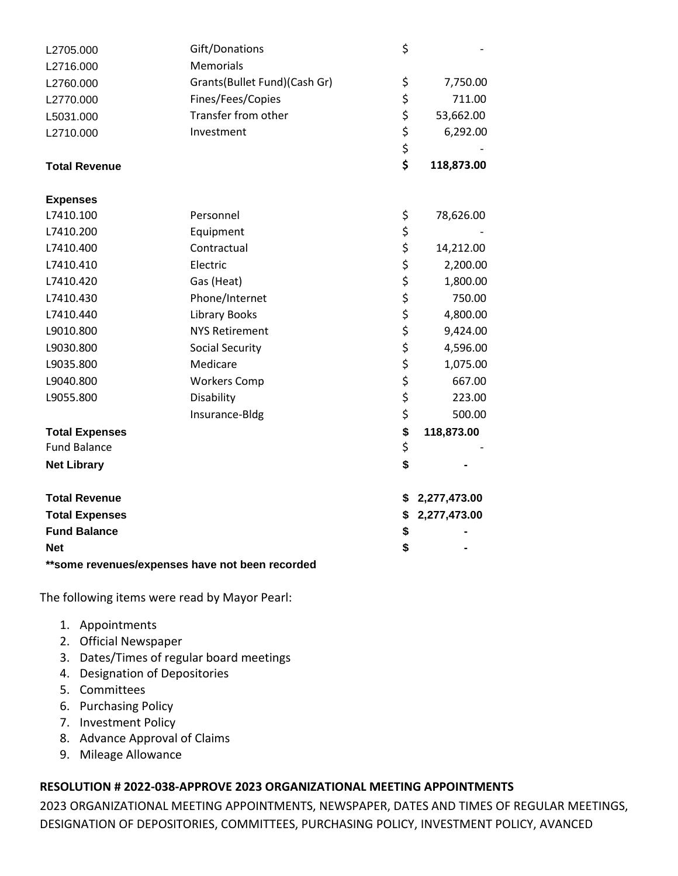| L2705.000             | Gift/Donations                                   | \$                 |
|-----------------------|--------------------------------------------------|--------------------|
| L2716.000             | Memorials                                        |                    |
| L2760.000             | Grants(Bullet Fund)(Cash Gr)                     | \$<br>7,750.00     |
| L2770.000             | Fines/Fees/Copies                                | \$<br>711.00       |
| L5031.000             | Transfer from other                              | \$<br>53,662.00    |
| L2710.000             | Investment                                       | \$<br>6,292.00     |
|                       |                                                  | \$                 |
| <b>Total Revenue</b>  |                                                  | \$<br>118,873.00   |
| <b>Expenses</b>       |                                                  |                    |
| L7410.100             | Personnel                                        | \$<br>78,626.00    |
| L7410.200             | Equipment                                        | \$                 |
| L7410.400             | Contractual                                      | \$<br>14,212.00    |
| L7410.410             | Electric                                         | \$<br>2,200.00     |
| L7410.420             | Gas (Heat)                                       | \$<br>1,800.00     |
| L7410.430             | Phone/Internet                                   | \$<br>750.00       |
| L7410.440             | <b>Library Books</b>                             | \$<br>4,800.00     |
| L9010.800             | <b>NYS Retirement</b>                            | \$<br>9,424.00     |
| L9030.800             | <b>Social Security</b>                           | \$<br>4,596.00     |
| L9035.800             | Medicare                                         | \$<br>1,075.00     |
| L9040.800             | <b>Workers Comp</b>                              | \$<br>667.00       |
| L9055.800             | Disability                                       | \$<br>223.00       |
|                       | Insurance-Bldg                                   | \$<br>500.00       |
| <b>Total Expenses</b> |                                                  | \$<br>118,873.00   |
| <b>Fund Balance</b>   |                                                  | \$                 |
| <b>Net Library</b>    |                                                  | \$                 |
| <b>Total Revenue</b>  |                                                  | \$<br>2,277,473.00 |
| <b>Total Expenses</b> |                                                  | \$<br>2,277,473.00 |
| <b>Fund Balance</b>   |                                                  | \$                 |
| <b>Net</b>            |                                                  | \$                 |
|                       | ** some revenues/expenses have not been recorded |                    |

The following items were read by Mayor Pearl:

- 1. Appointments
- 2. Official Newspaper
- 3. Dates/Times of regular board meetings
- 4. Designation of Depositories
- 5. Committees
- 6. Purchasing Policy
- 7. Investment Policy
- 8. Advance Approval of Claims
- 9. Mileage Allowance

### **RESOLUTION # 2022-038-APPROVE 2023 ORGANIZATIONAL MEETING APPOINTMENTS**

2023 ORGANIZATIONAL MEETING APPOINTMENTS, NEWSPAPER, DATES AND TIMES OF REGULAR MEETINGS, DESIGNATION OF DEPOSITORIES, COMMITTEES, PURCHASING POLICY, INVESTMENT POLICY, AVANCED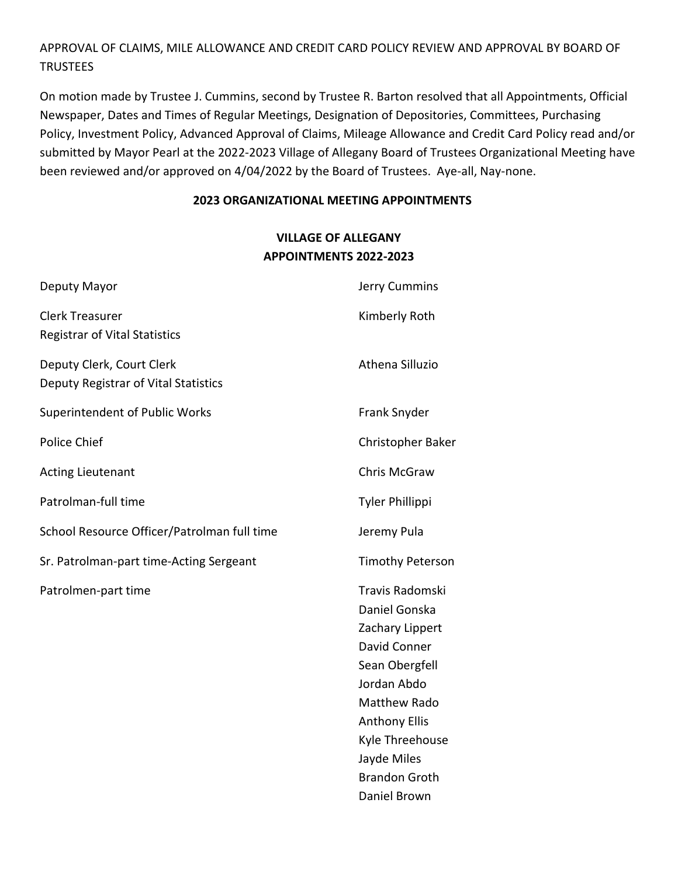# APPROVAL OF CLAIMS, MILE ALLOWANCE AND CREDIT CARD POLICY REVIEW AND APPROVAL BY BOARD OF TRUSTEES

On motion made by Trustee J. Cummins, second by Trustee R. Barton resolved that all Appointments, Official Newspaper, Dates and Times of Regular Meetings, Designation of Depositories, Committees, Purchasing Policy, Investment Policy, Advanced Approval of Claims, Mileage Allowance and Credit Card Policy read and/or submitted by Mayor Pearl at the 2022-2023 Village of Allegany Board of Trustees Organizational Meeting have been reviewed and/or approved on 4/04/2022 by the Board of Trustees. Aye-all, Nay-none.

#### **2023 ORGANIZATIONAL MEETING APPOINTMENTS**

## **VILLAGE OF ALLEGANY APPOINTMENTS 2022-2023**

Daniel Brown

| Deputy Mayor                                                      | Jerry Cummins                                                                                                                                                                                                 |
|-------------------------------------------------------------------|---------------------------------------------------------------------------------------------------------------------------------------------------------------------------------------------------------------|
| <b>Clerk Treasurer</b><br><b>Registrar of Vital Statistics</b>    | Kimberly Roth                                                                                                                                                                                                 |
| Deputy Clerk, Court Clerk<br>Deputy Registrar of Vital Statistics | Athena Silluzio                                                                                                                                                                                               |
| <b>Superintendent of Public Works</b>                             | Frank Snyder                                                                                                                                                                                                  |
| Police Chief                                                      | Christopher Baker                                                                                                                                                                                             |
| <b>Acting Lieutenant</b>                                          | Chris McGraw                                                                                                                                                                                                  |
| Patrolman-full time                                               | <b>Tyler Phillippi</b>                                                                                                                                                                                        |
| School Resource Officer/Patrolman full time                       | Jeremy Pula                                                                                                                                                                                                   |
| Sr. Patrolman-part time-Acting Sergeant                           | <b>Timothy Peterson</b>                                                                                                                                                                                       |
| Patrolmen-part time                                               | Travis Radomski<br>Daniel Gonska<br>Zachary Lippert<br>David Conner<br>Sean Obergfell<br>Jordan Abdo<br><b>Matthew Rado</b><br><b>Anthony Ellis</b><br>Kyle Threehouse<br>Jayde Miles<br><b>Brandon Groth</b> |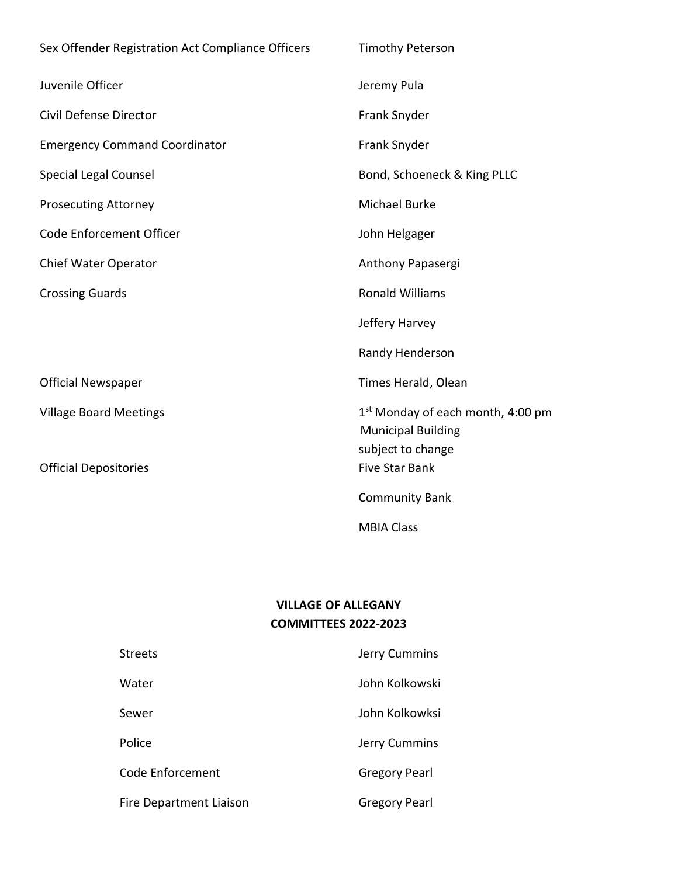| Sex Offender Registration Act Compliance Officers | <b>Timothy Peterson</b>                                                                         |
|---------------------------------------------------|-------------------------------------------------------------------------------------------------|
| Juvenile Officer                                  | Jeremy Pula                                                                                     |
| Civil Defense Director                            | Frank Snyder                                                                                    |
| <b>Emergency Command Coordinator</b>              | Frank Snyder                                                                                    |
| <b>Special Legal Counsel</b>                      | Bond, Schoeneck & King PLLC                                                                     |
| <b>Prosecuting Attorney</b>                       | <b>Michael Burke</b>                                                                            |
| Code Enforcement Officer                          | John Helgager                                                                                   |
| Chief Water Operator                              | Anthony Papasergi                                                                               |
| <b>Crossing Guards</b>                            | <b>Ronald Williams</b>                                                                          |
|                                                   | Jeffery Harvey                                                                                  |
|                                                   | Randy Henderson                                                                                 |
| <b>Official Newspaper</b>                         | Times Herald, Olean                                                                             |
| <b>Village Board Meetings</b>                     | 1 <sup>st</sup> Monday of each month, 4:00 pm<br><b>Municipal Building</b><br>subject to change |
| <b>Official Depositories</b>                      | <b>Five Star Bank</b>                                                                           |
|                                                   | <b>Community Bank</b>                                                                           |
|                                                   | <b>MBIA Class</b>                                                                               |

# **VILLAGE OF ALLEGANY COMMITTEES 2022-2023**

| <b>Streets</b>          | Jerry Cummins        |
|-------------------------|----------------------|
| Water                   | John Kolkowski       |
| Sewer                   | John Kolkowksi       |
| Police                  | Jerry Cummins        |
| Code Enforcement        | <b>Gregory Pearl</b> |
| Fire Department Liaison | <b>Gregory Pearl</b> |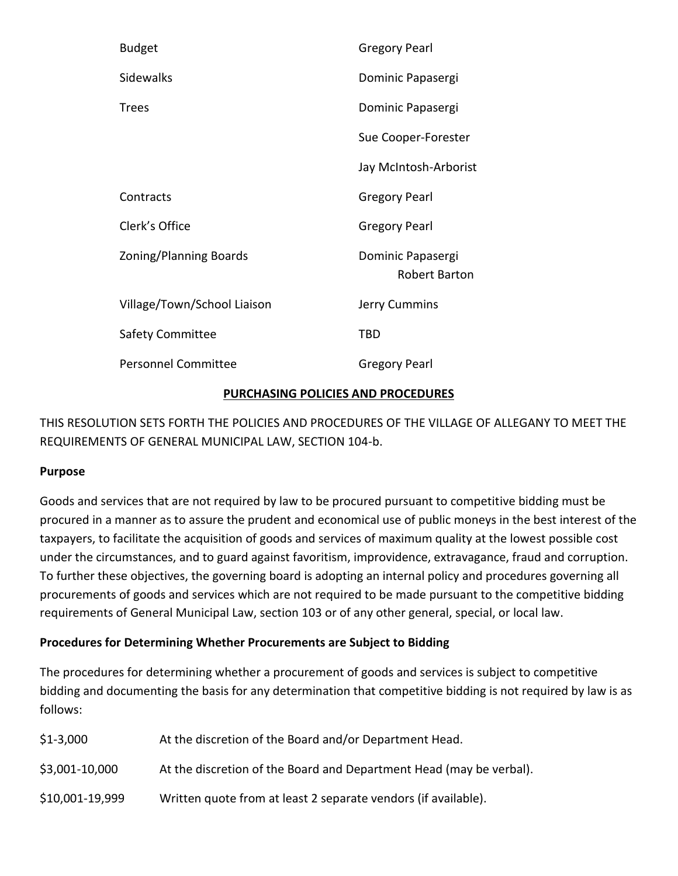| <b>Budget</b>                 | <b>Gregory Pearl</b>               |
|-------------------------------|------------------------------------|
| Sidewalks                     | Dominic Papasergi                  |
| <b>Trees</b>                  | Dominic Papasergi                  |
|                               | Sue Cooper-Forester                |
|                               | Jay McIntosh-Arborist              |
| Contracts                     | <b>Gregory Pearl</b>               |
| Clerk's Office                | <b>Gregory Pearl</b>               |
| <b>Zoning/Planning Boards</b> | Dominic Papasergi<br>Robert Barton |
| Village/Town/School Liaison   | Jerry Cummins                      |
| Safety Committee              | TBD                                |
| <b>Personnel Committee</b>    | <b>Gregory Pearl</b>               |
|                               |                                    |

### **PURCHASING POLICIES AND PROCEDURES**

THIS RESOLUTION SETS FORTH THE POLICIES AND PROCEDURES OF THE VILLAGE OF ALLEGANY TO MEET THE REQUIREMENTS OF GENERAL MUNICIPAL LAW, SECTION 104-b.

### **Purpose**

Goods and services that are not required by law to be procured pursuant to competitive bidding must be procured in a manner as to assure the prudent and economical use of public moneys in the best interest of the taxpayers, to facilitate the acquisition of goods and services of maximum quality at the lowest possible cost under the circumstances, and to guard against favoritism, improvidence, extravagance, fraud and corruption. To further these objectives, the governing board is adopting an internal policy and procedures governing all procurements of goods and services which are not required to be made pursuant to the competitive bidding requirements of General Municipal Law, section 103 or of any other general, special, or local law.

### **Procedures for Determining Whether Procurements are Subject to Bidding**

The procedures for determining whether a procurement of goods and services is subject to competitive bidding and documenting the basis for any determination that competitive bidding is not required by law is as follows:

| \$1-3,000       | At the discretion of the Board and/or Department Head.              |
|-----------------|---------------------------------------------------------------------|
| \$3,001-10,000  | At the discretion of the Board and Department Head (may be verbal). |
| \$10,001-19,999 | Written quote from at least 2 separate vendors (if available).      |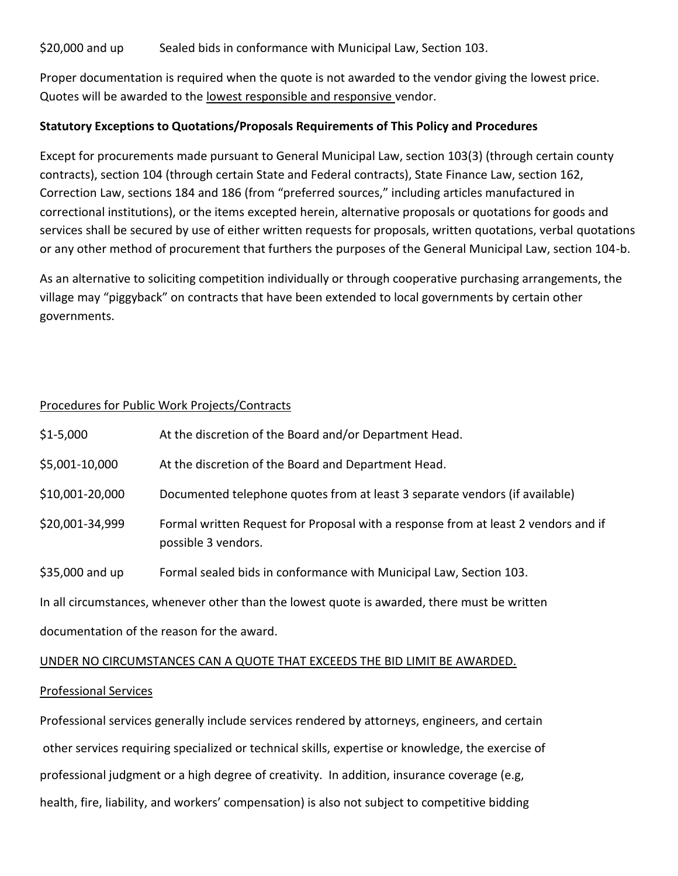\$20,000 and up Sealed bids in conformance with Municipal Law, Section 103.

Proper documentation is required when the quote is not awarded to the vendor giving the lowest price. Quotes will be awarded to the lowest responsible and responsive vendor.

#### **Statutory Exceptions to Quotations/Proposals Requirements of This Policy and Procedures**

Except for procurements made pursuant to General Municipal Law, section 103(3) (through certain county contracts), section 104 (through certain State and Federal contracts), State Finance Law, section 162, Correction Law, sections 184 and 186 (from "preferred sources," including articles manufactured in correctional institutions), or the items excepted herein, alternative proposals or quotations for goods and services shall be secured by use of either written requests for proposals, written quotations, verbal quotations or any other method of procurement that furthers the purposes of the General Municipal Law, section 104-b.

As an alternative to soliciting competition individually or through cooperative purchasing arrangements, the village may "piggyback" on contracts that have been extended to local governments by certain other governments.

#### Procedures for Public Work Projects/Contracts

| \$1-5,000                                                                                    | At the discretion of the Board and/or Department Head.                                                    |  |
|----------------------------------------------------------------------------------------------|-----------------------------------------------------------------------------------------------------------|--|
| \$5,001-10,000                                                                               | At the discretion of the Board and Department Head.                                                       |  |
| \$10,001-20,000                                                                              | Documented telephone quotes from at least 3 separate vendors (if available)                               |  |
| \$20,001-34,999                                                                              | Formal written Request for Proposal with a response from at least 2 vendors and if<br>possible 3 vendors. |  |
| \$35,000 and up                                                                              | Formal sealed bids in conformance with Municipal Law, Section 103.                                        |  |
| In all circumstances, whenever other than the lowest quote is awarded, there must be written |                                                                                                           |  |
| documentation of the reason for the award.                                                   |                                                                                                           |  |
| UNDER NO CIRCUMSTANCES CAN A QUOTE THAT EXCEEDS THE BID LIMIT BE AWARDED.                    |                                                                                                           |  |

#### Professional Services

Professional services generally include services rendered by attorneys, engineers, and certain other services requiring specialized or technical skills, expertise or knowledge, the exercise of professional judgment or a high degree of creativity. In addition, insurance coverage (e.g, health, fire, liability, and workers' compensation) is also not subject to competitive bidding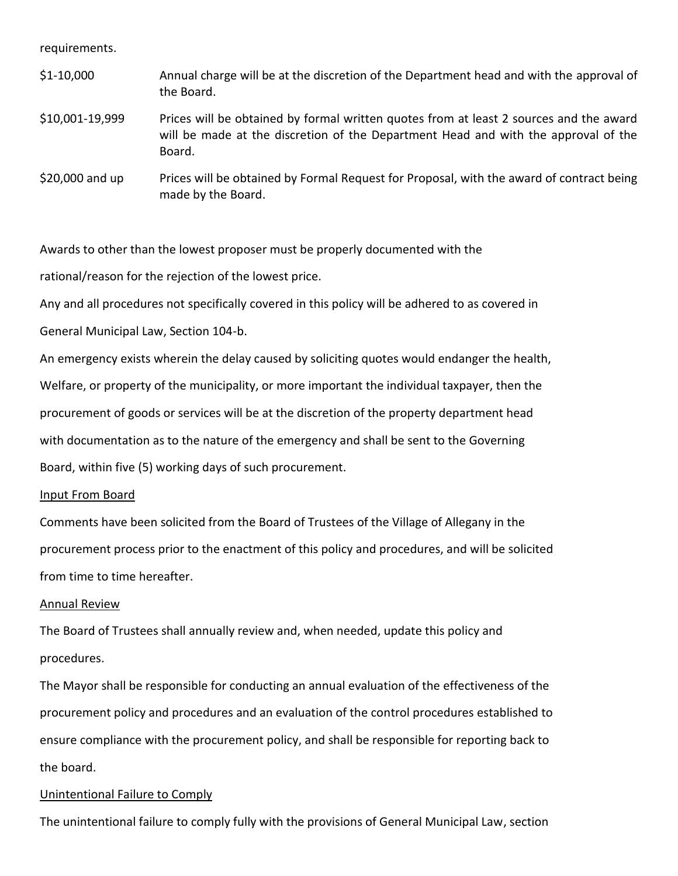requirements.

| $$1-10,000$     | Annual charge will be at the discretion of the Department head and with the approval of<br>the Board.                                                                                  |
|-----------------|----------------------------------------------------------------------------------------------------------------------------------------------------------------------------------------|
| \$10,001-19,999 | Prices will be obtained by formal written quotes from at least 2 sources and the award<br>will be made at the discretion of the Department Head and with the approval of the<br>Board. |
| \$20,000 and up | Prices will be obtained by Formal Request for Proposal, with the award of contract being<br>made by the Board.                                                                         |

Awards to other than the lowest proposer must be properly documented with the

rational/reason for the rejection of the lowest price.

Any and all procedures not specifically covered in this policy will be adhered to as covered in

General Municipal Law, Section 104-b.

An emergency exists wherein the delay caused by soliciting quotes would endanger the health, Welfare, or property of the municipality, or more important the individual taxpayer, then the procurement of goods or services will be at the discretion of the property department head with documentation as to the nature of the emergency and shall be sent to the Governing Board, within five (5) working days of such procurement.

#### Input From Board

Comments have been solicited from the Board of Trustees of the Village of Allegany in the procurement process prior to the enactment of this policy and procedures, and will be solicited from time to time hereafter.

#### Annual Review

The Board of Trustees shall annually review and, when needed, update this policy and procedures.

The Mayor shall be responsible for conducting an annual evaluation of the effectiveness of the procurement policy and procedures and an evaluation of the control procedures established to ensure compliance with the procurement policy, and shall be responsible for reporting back to the board.

#### Unintentional Failure to Comply

The unintentional failure to comply fully with the provisions of General Municipal Law, section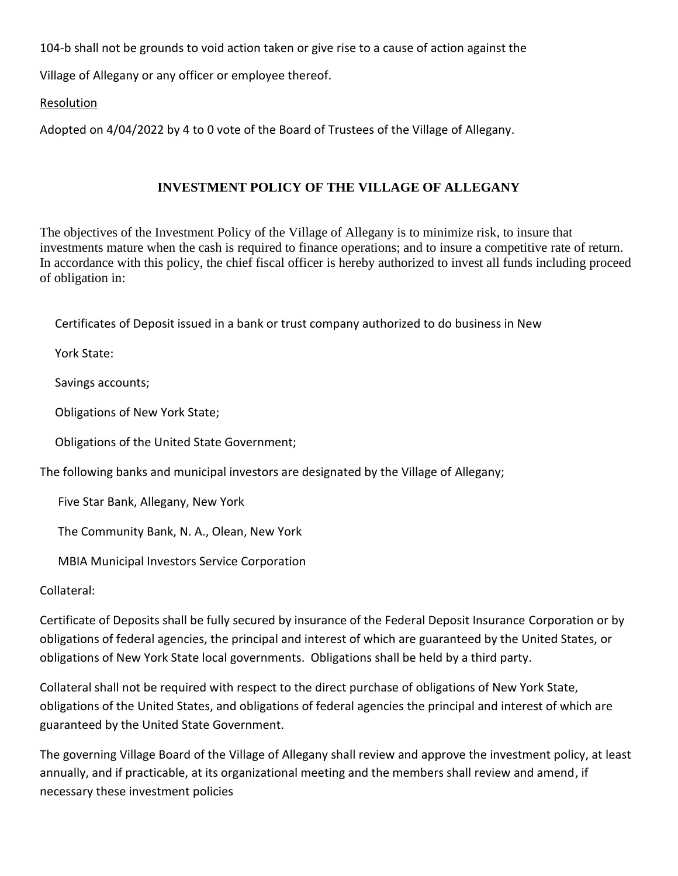104-b shall not be grounds to void action taken or give rise to a cause of action against the

Village of Allegany or any officer or employee thereof.

### Resolution

Adopted on 4/04/2022 by 4 to 0 vote of the Board of Trustees of the Village of Allegany.

### **INVESTMENT POLICY OF THE VILLAGE OF ALLEGANY**

The objectives of the Investment Policy of the Village of Allegany is to minimize risk, to insure that investments mature when the cash is required to finance operations; and to insure a competitive rate of return. In accordance with this policy, the chief fiscal officer is hereby authorized to invest all funds including proceed of obligation in:

Certificates of Deposit issued in a bank or trust company authorized to do business in New

York State:

Savings accounts;

Obligations of New York State;

Obligations of the United State Government;

The following banks and municipal investors are designated by the Village of Allegany;

Five Star Bank, Allegany, New York

The Community Bank, N. A., Olean, New York

MBIA Municipal Investors Service Corporation

Collateral:

Certificate of Deposits shall be fully secured by insurance of the Federal Deposit Insurance Corporation or by obligations of federal agencies, the principal and interest of which are guaranteed by the United States, or obligations of New York State local governments. Obligations shall be held by a third party.

Collateral shall not be required with respect to the direct purchase of obligations of New York State, obligations of the United States, and obligations of federal agencies the principal and interest of which are guaranteed by the United State Government.

The governing Village Board of the Village of Allegany shall review and approve the investment policy, at least annually, and if practicable, at its organizational meeting and the members shall review and amend, if necessary these investment policies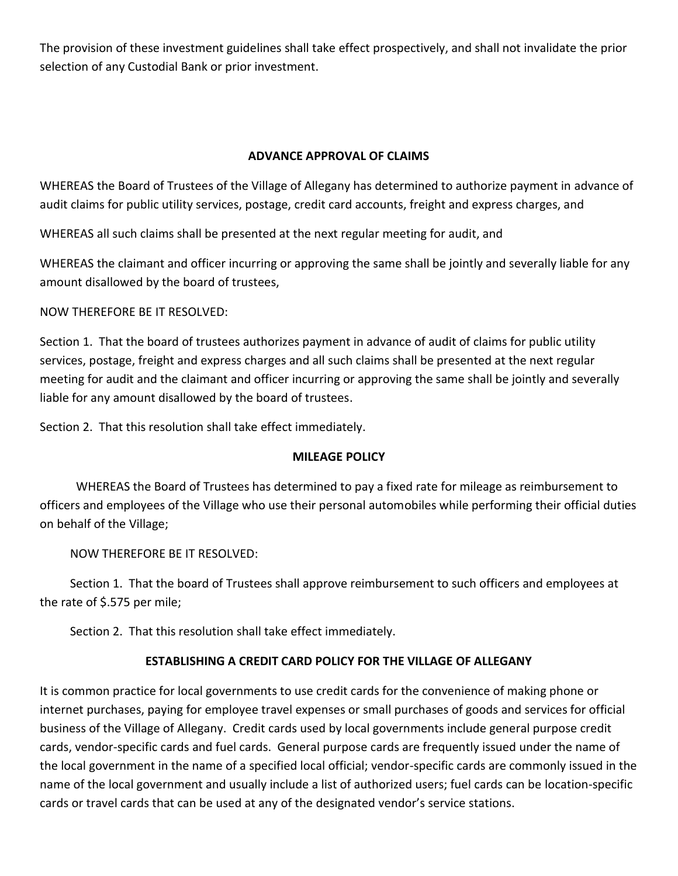The provision of these investment guidelines shall take effect prospectively, and shall not invalidate the prior selection of any Custodial Bank or prior investment.

### **ADVANCE APPROVAL OF CLAIMS**

WHEREAS the Board of Trustees of the Village of Allegany has determined to authorize payment in advance of audit claims for public utility services, postage, credit card accounts, freight and express charges, and

WHEREAS all such claims shall be presented at the next regular meeting for audit, and

WHEREAS the claimant and officer incurring or approving the same shall be jointly and severally liable for any amount disallowed by the board of trustees,

### NOW THEREFORE BE IT RESOLVED:

Section 1. That the board of trustees authorizes payment in advance of audit of claims for public utility services, postage, freight and express charges and all such claims shall be presented at the next regular meeting for audit and the claimant and officer incurring or approving the same shall be jointly and severally liable for any amount disallowed by the board of trustees.

Section 2. That this resolution shall take effect immediately.

### **MILEAGE POLICY**

 WHEREAS the Board of Trustees has determined to pay a fixed rate for mileage as reimbursement to officers and employees of the Village who use their personal automobiles while performing their official duties on behalf of the Village;

NOW THEREFORE BE IT RESOLVED:

 Section 1. That the board of Trustees shall approve reimbursement to such officers and employees at the rate of \$.575 per mile;

Section 2. That this resolution shall take effect immediately.

### **ESTABLISHING A CREDIT CARD POLICY FOR THE VILLAGE OF ALLEGANY**

It is common practice for local governments to use credit cards for the convenience of making phone or internet purchases, paying for employee travel expenses or small purchases of goods and services for official business of the Village of Allegany. Credit cards used by local governments include general purpose credit cards, vendor-specific cards and fuel cards. General purpose cards are frequently issued under the name of the local government in the name of a specified local official; vendor-specific cards are commonly issued in the name of the local government and usually include a list of authorized users; fuel cards can be location-specific cards or travel cards that can be used at any of the designated vendor's service stations.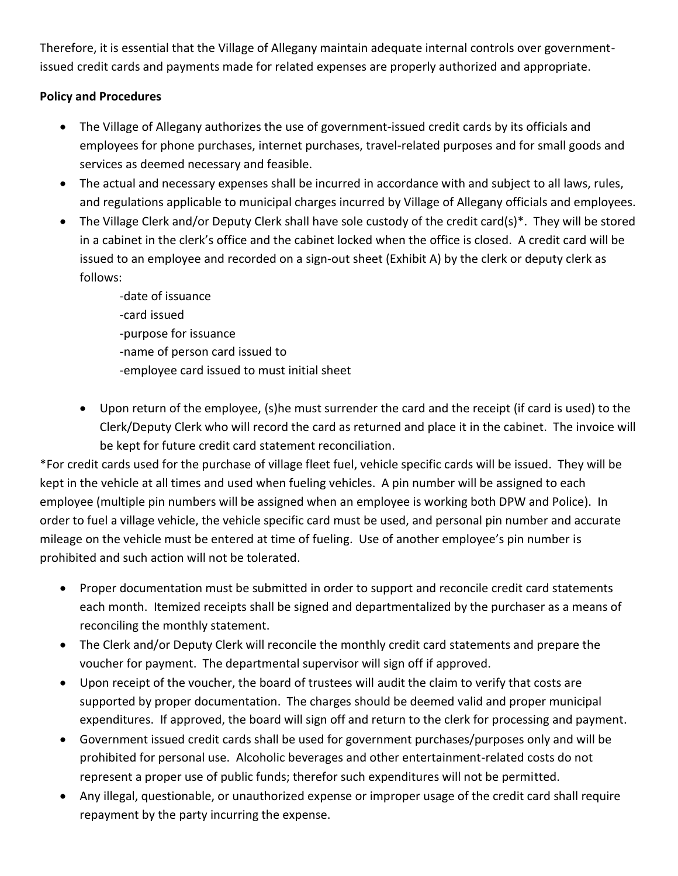Therefore, it is essential that the Village of Allegany maintain adequate internal controls over governmentissued credit cards and payments made for related expenses are properly authorized and appropriate.

## **Policy and Procedures**

- The Village of Allegany authorizes the use of government-issued credit cards by its officials and employees for phone purchases, internet purchases, travel-related purposes and for small goods and services as deemed necessary and feasible.
- The actual and necessary expenses shall be incurred in accordance with and subject to all laws, rules, and regulations applicable to municipal charges incurred by Village of Allegany officials and employees.
- The Village Clerk and/or Deputy Clerk shall have sole custody of the credit card(s)\*. They will be stored in a cabinet in the clerk's office and the cabinet locked when the office is closed. A credit card will be issued to an employee and recorded on a sign-out sheet (Exhibit A) by the clerk or deputy clerk as follows:
	- -date of issuance -card issued -purpose for issuance -name of person card issued to -employee card issued to must initial sheet
	- Upon return of the employee, (s)he must surrender the card and the receipt (if card is used) to the Clerk/Deputy Clerk who will record the card as returned and place it in the cabinet. The invoice will be kept for future credit card statement reconciliation.

\*For credit cards used for the purchase of village fleet fuel, vehicle specific cards will be issued. They will be kept in the vehicle at all times and used when fueling vehicles. A pin number will be assigned to each employee (multiple pin numbers will be assigned when an employee is working both DPW and Police). In order to fuel a village vehicle, the vehicle specific card must be used, and personal pin number and accurate mileage on the vehicle must be entered at time of fueling. Use of another employee's pin number is prohibited and such action will not be tolerated.

- Proper documentation must be submitted in order to support and reconcile credit card statements each month. Itemized receipts shall be signed and departmentalized by the purchaser as a means of reconciling the monthly statement.
- The Clerk and/or Deputy Clerk will reconcile the monthly credit card statements and prepare the voucher for payment. The departmental supervisor will sign off if approved.
- Upon receipt of the voucher, the board of trustees will audit the claim to verify that costs are supported by proper documentation. The charges should be deemed valid and proper municipal expenditures. If approved, the board will sign off and return to the clerk for processing and payment.
- Government issued credit cards shall be used for government purchases/purposes only and will be prohibited for personal use. Alcoholic beverages and other entertainment-related costs do not represent a proper use of public funds; therefor such expenditures will not be permitted.
- Any illegal, questionable, or unauthorized expense or improper usage of the credit card shall require repayment by the party incurring the expense.